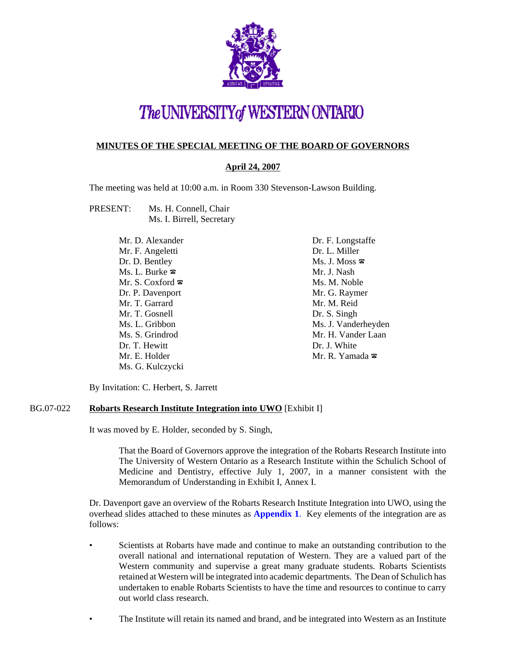

# The UNIVERSITY of WESTERN ONTARIO

## **MINUTES OF THE SPECIAL MEETING OF THE BOARD OF GOVERNORS**

## **April 24, 2007**

The meeting was held at 10:00 a.m. in Room 330 Stevenson-Lawson Building.

PRESENT: Ms. H. Connell, Chair Ms. I. Birrell, Secretary

| Mr. D. Alexander                 | Dr. F. Longstaffe                                    |
|----------------------------------|------------------------------------------------------|
| Mr. F. Angeletti                 | Dr. L. Miller                                        |
| Dr. D. Bentley                   | $Ms. J. Moss \; \; \; \; \; \; \; \; \; \; \; \; \;$ |
| Ms. L. Burke $\infty$            | Mr. J. Nash                                          |
| Mr. S. Coxford $\mathbf{\infty}$ | Ms. M. Noble                                         |
| Dr. P. Davenport                 | Mr. G. Raymer                                        |
| Mr. T. Garrard                   | Mr. M. Reid                                          |
| Mr. T. Gosnell                   | Dr. S. Singh                                         |
| Ms. L. Gribbon                   | Ms. J. Vanderheyden                                  |
| Ms. S. Grindrod                  | Mr. H. Vander Laan                                   |
| Dr. T. Hewitt                    | Dr. J. White                                         |
| Mr. E. Holder                    | Mr. R. Yamada $\mathbf{\Sigma}$                      |
| Ms. G. Kulczycki                 |                                                      |

By Invitation: C. Herbert, S. Jarrett

## BG.07-022 **Robarts Research Institute Integration into UWO** [Exhibit I]

It was moved by E. Holder, seconded by S. Singh,

That the Board of Governors approve the integration of the Robarts Research Institute into The University of Western Ontario as a Research Institute within the Schulich School of Medicine and Dentistry, effective July 1, 2007, in a manner consistent with the Memorandum of Understanding in Exhibit I, Annex I.

Dr. Davenport gave an overview of the Robarts Research Institute Integration into UWO, using the overhead slides attached to these minutes as **[Appendix 1](#page-3-0)**. Key elements of the integration are as follows:

- Scientists at Robarts have made and continue to make an outstanding contribution to the overall national and international reputation of Western. They are a valued part of the Western community and supervise a great many graduate students. Robarts Scientists retained at Western will be integrated into academic departments. The Dean of Schulich has undertaken to enable Robarts Scientists to have the time and resources to continue to carry out world class research.
- The Institute will retain its named and brand, and be integrated into Western as an Institute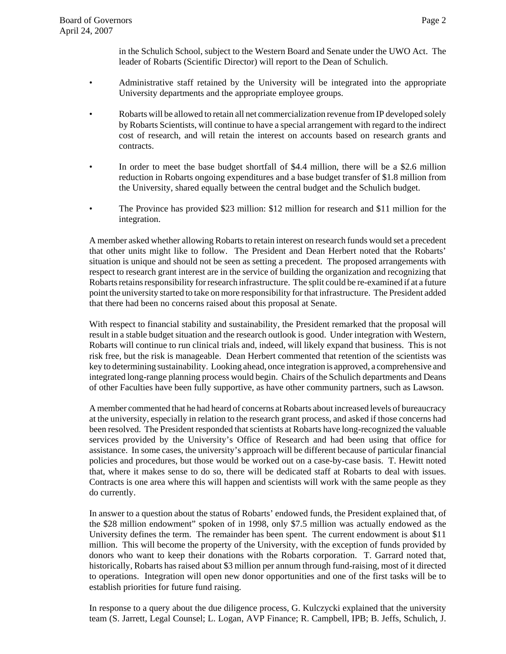in the Schulich School, subject to the Western Board and Senate under the UWO Act. The leader of Robarts (Scientific Director) will report to the Dean of Schulich.

- Administrative staff retained by the University will be integrated into the appropriate University departments and the appropriate employee groups.
- Robarts will be allowed to retain all net commercialization revenue from IP developed solely by Robarts Scientists, will continue to have a special arrangement with regard to the indirect cost of research, and will retain the interest on accounts based on research grants and contracts.
- In order to meet the base budget shortfall of \$4.4 million, there will be a \$2.6 million reduction in Robarts ongoing expenditures and a base budget transfer of \$1.8 million from the University, shared equally between the central budget and the Schulich budget.
- The Province has provided \$23 million: \$12 million for research and \$11 million for the integration.

A member asked whether allowing Robarts to retain interest on research funds would set a precedent that other units might like to follow. The President and Dean Herbert noted that the Robarts' situation is unique and should not be seen as setting a precedent. The proposed arrangements with respect to research grant interest are in the service of building the organization and recognizing that Robarts retains responsibility for research infrastructure. The split could be re-examined if at a future point the university started to take on more responsibility for that infrastructure. The President added that there had been no concerns raised about this proposal at Senate.

With respect to financial stability and sustainability, the President remarked that the proposal will result in a stable budget situation and the research outlook is good. Under integration with Western, Robarts will continue to run clinical trials and, indeed, will likely expand that business. This is not risk free, but the risk is manageable. Dean Herbert commented that retention of the scientists was key to determining sustainability. Looking ahead, once integration is approved, a comprehensive and integrated long-range planning process would begin. Chairs of the Schulich departments and Deans of other Faculties have been fully supportive, as have other community partners, such as Lawson.

A member commented that he had heard of concerns at Robarts about increased levels of bureaucracy at the university, especially in relation to the research grant process, and asked if those concerns had been resolved. The President responded that scientists at Robarts have long-recognized the valuable services provided by the University's Office of Research and had been using that office for assistance. In some cases, the university's approach will be different because of particular financial policies and procedures, but those would be worked out on a case-by-case basis. T. Hewitt noted that, where it makes sense to do so, there will be dedicated staff at Robarts to deal with issues. Contracts is one area where this will happen and scientists will work with the same people as they do currently.

In answer to a question about the status of Robarts' endowed funds, the President explained that, of the \$28 million endowment" spoken of in 1998, only \$7.5 million was actually endowed as the University defines the term. The remainder has been spent. The current endowment is about \$11 million. This will become the property of the University, with the exception of funds provided by donors who want to keep their donations with the Robarts corporation. T. Garrard noted that, historically, Robarts has raised about \$3 million per annum through fund-raising, most of it directed to operations. Integration will open new donor opportunities and one of the first tasks will be to establish priorities for future fund raising.

In response to a query about the due diligence process, G. Kulczycki explained that the university team (S. Jarrett, Legal Counsel; L. Logan, AVP Finance; R. Campbell, IPB; B. Jeffs, Schulich, J.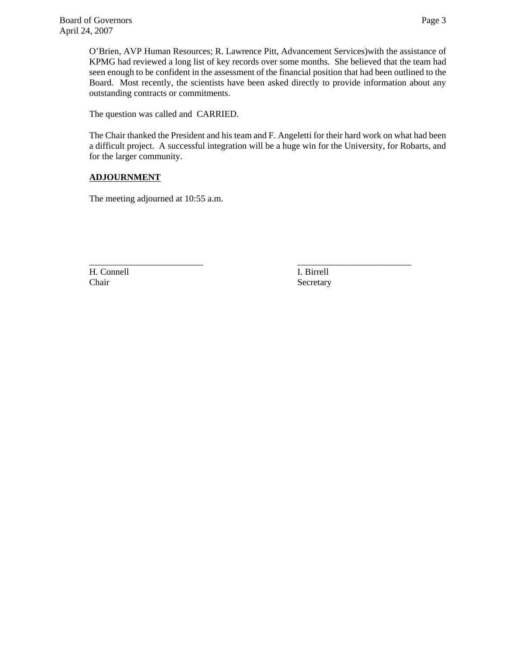O'Brien, AVP Human Resources; R. Lawrence Pitt, Advancement Services)with the assistance of KPMG had reviewed a long list of key records over some months. She believed that the team had seen enough to be confident in the assessment of the financial position that had been outlined to the Board. Most recently, the scientists have been asked directly to provide information about any outstanding contracts or commitments.

The question was called and CARRIED.

The Chair thanked the President and his team and F. Angeletti for their hard work on what had been a difficult project. A successful integration will be a huge win for the University, for Robarts, and for the larger community.

# **ADJOURNMENT**

The meeting adjourned at 10:55 a.m.

H. Connell I. Birrell Chair Secretary

\_\_\_\_\_\_\_\_\_\_\_\_\_\_\_\_\_\_\_\_\_\_\_\_\_ \_\_\_\_\_\_\_\_\_\_\_\_\_\_\_\_\_\_\_\_\_\_\_\_\_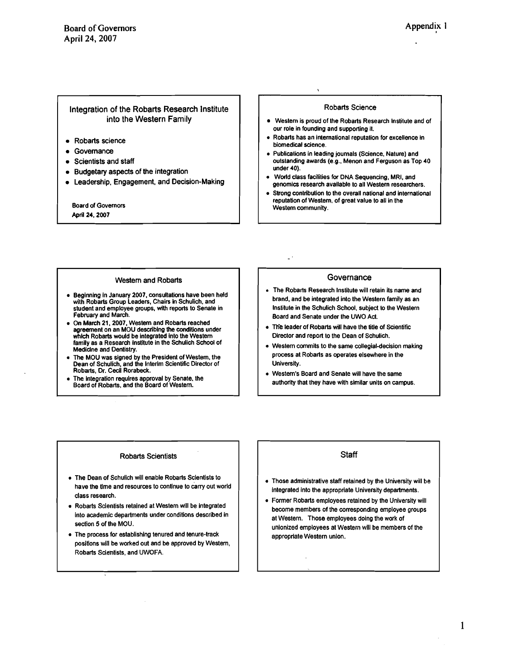**0** 

### <span id="page-3-0"></span>Integration of the Robarts Research lnstitute into the Western Family

- Robarts science
- Governance
- Scientists and staff
- Budgetary aspects of the integration
- Leadership, Engagement, and Decision-Making

**Board of Governors** April **24.2007** 

#### Robarts Science

- Western is proud of the Robarts Research lnstitute and of our role in founding and supporting it.
- Robarts has an international reputation for excellence in biomedical science.
- Publications in leading journals (Science. Nature) and outstanding awards (e.g., Menon and Ferguson as Top **40**  under **40).**
- World class facilities for DNA Sequencing. MRI, and genomics research available to all Western researchers.
- Strong contribution to the overall national and international reputation of Western, of great value to all in the Western community.

#### Western and Robarts

- a Beginning in January **2007,** consultations have been held with Robarts Group Leaders, Chairs in Schulich, and student and employee groups, with reports to Senate in February and March.
- On March **21.2007,** Western and Robarts reached agreement on an MOU describing the conditions under which Robarts would be integrated into the Western family as a Research lnstitute in the Schullch School of Medidne and Dentistry.
- **a** The MOU was signed by the President of Western, the Dean of Schulich, and the Interim Scientific Director of Robarts, Dr. Cecil Rorabeck.
- **a** The lntegration requlres approval by Senate, the Board of Robarts, and the Board of Western.

#### **Governance**

- The Robarts Research lnstitute will retain its name and brand, and be integrated into the Western family as an Institute in the Schulich School, subject to the Western Board and Senate under the UWO Act.
- The leader of Robarts will have the title of Scientific Director and report to the Dean of Schulich.

L,

- Western commits to the same collegial-decision making process at Robarts as operates elsewhere in the University.
- **a** Western's Board and Senate will have the same authority that they have with similar units on campus.

#### Robarts Scientists

- The Dean of Schulich will enable Robarts Sclentists to have the time and resources to continue to carry out world class research.
- Robarts Sclentists retalned at Western wlll be Integrated into academic departments under conditions described In section 5 of the MOU.
- **a** The process for establishing tenured and tenure-track positlons will be worked out and be approved by Western, Robarts Sclentists, and UWOFA.

## **Staff**

- Those administrative staff retained by the University will be integrated into the approprlate University departments.
- Fomer Robarts employees retained by the University will become members of the corresponding employee groups at Western. Those employees doing the work of unlonized employees at Western will be members of the appropriate Western unlon.